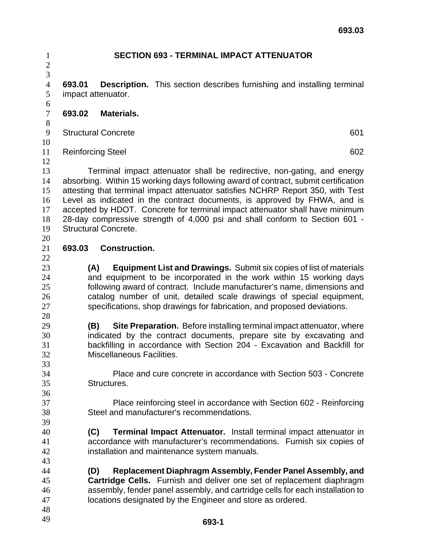| $\mathbf{1}$                     | <b>SECTION 693 - TERMINAL IMPACT ATTENUATOR</b>                                 |                             |                                                                                                                                                                |  |  |
|----------------------------------|---------------------------------------------------------------------------------|-----------------------------|----------------------------------------------------------------------------------------------------------------------------------------------------------------|--|--|
| $\overline{c}$<br>$\overline{3}$ |                                                                                 |                             |                                                                                                                                                                |  |  |
| $\overline{4}$                   | 693.01                                                                          |                             | <b>Description.</b> This section describes furnishing and installing terminal                                                                                  |  |  |
| 5                                | impact attenuator.                                                              |                             |                                                                                                                                                                |  |  |
| 6<br>$\boldsymbol{7}$            | 693.02                                                                          | Materials.                  |                                                                                                                                                                |  |  |
| $8\,$                            |                                                                                 |                             |                                                                                                                                                                |  |  |
| 9                                | <b>Structural Concrete</b>                                                      |                             |                                                                                                                                                                |  |  |
| 10                               |                                                                                 |                             |                                                                                                                                                                |  |  |
| 11                               | <b>Reinforcing Steel</b><br>602                                                 |                             |                                                                                                                                                                |  |  |
| 12<br>13                         |                                                                                 |                             |                                                                                                                                                                |  |  |
| 14                               |                                                                                 |                             | Terminal impact attenuator shall be redirective, non-gating, and energy<br>absorbing. Within 15 working days following award of contract, submit certification |  |  |
| 15                               | attesting that terminal impact attenuator satisfies NCHRP Report 350, with Test |                             |                                                                                                                                                                |  |  |
| 16                               | Level as indicated in the contract documents, is approved by FHWA, and is       |                             |                                                                                                                                                                |  |  |
| 17                               |                                                                                 |                             | accepted by HDOT. Concrete for terminal impact attenuator shall have minimum                                                                                   |  |  |
| 18                               |                                                                                 |                             | 28-day compressive strength of 4,000 psi and shall conform to Section 601 -                                                                                    |  |  |
| 19                               |                                                                                 | <b>Structural Concrete.</b> |                                                                                                                                                                |  |  |
| 20                               |                                                                                 |                             |                                                                                                                                                                |  |  |
| 21<br>22                         | 693.03                                                                          | <b>Construction.</b>        |                                                                                                                                                                |  |  |
| 23                               |                                                                                 | (A)                         | <b>Equipment List and Drawings.</b> Submit six copies of list of materials                                                                                     |  |  |
| 24                               |                                                                                 |                             | and equipment to be incorporated in the work within 15 working days                                                                                            |  |  |
| 25                               |                                                                                 |                             | following award of contract. Include manufacturer's name, dimensions and                                                                                       |  |  |
| 26                               |                                                                                 |                             | catalog number of unit, detailed scale drawings of special equipment,                                                                                          |  |  |
| 27                               |                                                                                 |                             | specifications, shop drawings for fabrication, and proposed deviations.                                                                                        |  |  |
| 28                               |                                                                                 |                             |                                                                                                                                                                |  |  |
| 29                               |                                                                                 | (B)                         | Site Preparation. Before installing terminal impact attenuator, where                                                                                          |  |  |
| 30                               |                                                                                 |                             | indicated by the contract documents, prepare site by excavating and                                                                                            |  |  |
| 31<br>32                         |                                                                                 | Miscellaneous Facilities.   | backfilling in accordance with Section 204 - Excavation and Backfill for                                                                                       |  |  |
| 33                               |                                                                                 |                             |                                                                                                                                                                |  |  |
| 34                               |                                                                                 |                             | Place and cure concrete in accordance with Section 503 - Concrete                                                                                              |  |  |
| 35                               |                                                                                 | Structures.                 |                                                                                                                                                                |  |  |
| 36                               |                                                                                 |                             |                                                                                                                                                                |  |  |
| 37                               |                                                                                 |                             | Place reinforcing steel in accordance with Section 602 - Reinforcing                                                                                           |  |  |
| 38                               |                                                                                 |                             | Steel and manufacturer's recommendations.                                                                                                                      |  |  |
| 39                               |                                                                                 |                             |                                                                                                                                                                |  |  |
| 40                               | (C)                                                                             |                             | <b>Terminal Impact Attenuator.</b> Install terminal impact attenuator in                                                                                       |  |  |
| 41<br>42                         |                                                                                 |                             | accordance with manufacturer's recommendations. Furnish six copies of<br>installation and maintenance system manuals.                                          |  |  |
| 43                               |                                                                                 |                             |                                                                                                                                                                |  |  |
| 44                               |                                                                                 | (D)                         | Replacement Diaphragm Assembly, Fender Panel Assembly, and                                                                                                     |  |  |
| 45                               |                                                                                 |                             | Cartridge Cells. Furnish and deliver one set of replacement diaphragm                                                                                          |  |  |
| 46                               |                                                                                 |                             | assembly, fender panel assembly, and cartridge cells for each installation to                                                                                  |  |  |
| 47                               |                                                                                 |                             | locations designated by the Engineer and store as ordered.                                                                                                     |  |  |
| 48                               |                                                                                 |                             |                                                                                                                                                                |  |  |
| 49                               |                                                                                 |                             | <b>603-1</b>                                                                                                                                                   |  |  |